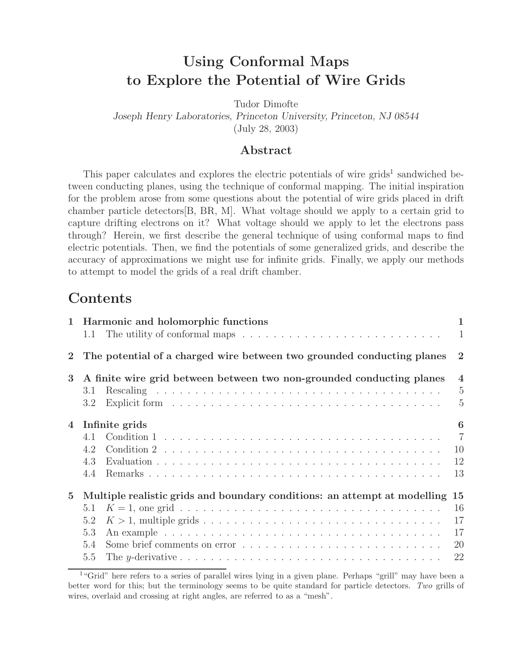# **Using Conformal Maps to Explore the Potential of Wire Grids**

Tudor Dimofte

*Joseph Henry Laboratories, Princeton University, Princeton, NJ 08544* (July 28, 2003)

### **Abstract**

This paper calculates and explores the electric potentials of wire grids<sup>1</sup> sandwiched between conducting planes, using the technique of conformal mapping. The initial inspiration for the problem arose from some questions about the potential of wire grids placed in drift chamber particle detectors[B, BR, M]. What voltage should we apply to a certain grid to capture drifting electrons on it? What voltage should we apply to let the electrons pass through? Herein, we first describe the general technique of using conformal maps to find electric potentials. Then, we find the potentials of some generalized grids, and describe the accuracy of approximations we might use for infinite grids. Finally, we apply our methods to attempt to model the grids of a real drift chamber.

## **Contents**

| $\mathbf{1}$   | Harmonic and holomorphic functions<br>The utility of conformal maps $\dots \dots \dots \dots \dots \dots \dots \dots \dots \dots$<br>1.1                                                                                                                        | $\overline{1}$<br>$\mathbf{1}$                     |
|----------------|-----------------------------------------------------------------------------------------------------------------------------------------------------------------------------------------------------------------------------------------------------------------|----------------------------------------------------|
| $\overline{2}$ | The potential of a charged wire between two grounded conducting planes                                                                                                                                                                                          | $\overline{2}$                                     |
| 3              | A finite wire grid between between two non-grounded conducting planes<br>3.1<br>3.2                                                                                                                                                                             | $\overline{4}$<br>$\overline{5}$<br>$\overline{5}$ |
| $\overline{4}$ | Infinite grids<br>4.2<br>4.3<br>4.4                                                                                                                                                                                                                             | 6<br>$\overline{7}$<br>10<br>12<br>13              |
| $5^{\circ}$    | Multiple realistic grids and boundary conditions: an attempt at modelling 15<br>5.1<br>5.2<br>5.3<br>Some brief comments on error<br>5.4<br>The y-derivative $\dots \dots \dots \dots \dots \dots \dots \dots \dots \dots \dots \dots \dots \dots \dots$<br>5.5 | 16<br>17<br>17<br>20<br>22                         |

<sup>&</sup>lt;sup>1</sup>"Grid" here refers to a series of parallel wires lying in a given plane. Perhaps "grill" may have been a better word for this; but the terminology seems to be quite standard for particle detectors. *Two* grills of wires, overlaid and crossing at right angles, are referred to as a "mesh".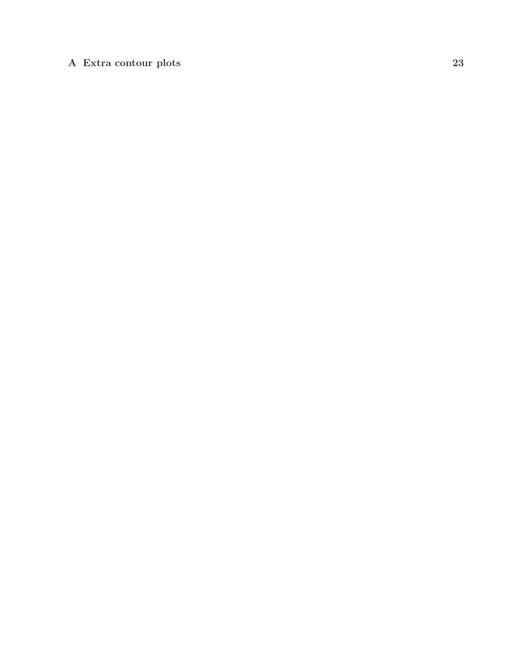## **A Extra contour plots 23**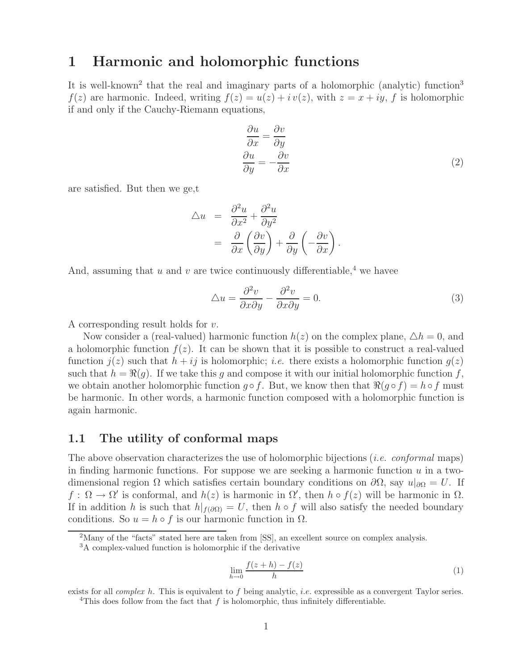## **1 Harmonic and holomorphic functions**

It is well-known<sup>2</sup> that the real and imaginary parts of a holomorphic (analytic) function<sup>3</sup>  $f(z)$  are harmonic. Indeed, writing  $f(z) = u(z) + iv(z)$ , with  $z = x + iy$ , f is holomorphic if and only if the Cauchy-Riemann equations,

$$
\frac{\partial u}{\partial x} = \frac{\partial v}{\partial y} \n\frac{\partial u}{\partial y} = -\frac{\partial v}{\partial x}
$$
\n(2)

are satisfied. But then we ge,t

$$
\Delta u = \frac{\partial^2 u}{\partial x^2} + \frac{\partial^2 u}{\partial y^2} \n= \frac{\partial}{\partial x} \left( \frac{\partial v}{\partial y} \right) + \frac{\partial}{\partial y} \left( -\frac{\partial v}{\partial x} \right).
$$

And, assuming that  $u$  and  $v$  are twice continuously differentiable,<sup>4</sup> we havee

$$
\Delta u = \frac{\partial^2 v}{\partial x \partial y} - \frac{\partial^2 v}{\partial x \partial y} = 0.
$$
\n(3)

A corresponding result holds for v.

Now consider a (real-valued) harmonic function  $h(z)$  on the complex plane,  $\triangle h = 0$ , and a holomorphic function  $f(z)$ . It can be shown that it is possible to construct a real-valued function  $j(z)$  such that  $h + ij$  is holomorphic; *i.e.* there exists a holomorphic function  $g(z)$ such that  $h = \Re(q)$ . If we take this g and compose it with our initial holomorphic function f, we obtain another holomorphic function  $g \circ f$ . But, we know then that  $\Re(g \circ f) = h \circ f$  must be harmonic. In other words, a harmonic function composed with a holomorphic function is again harmonic.

#### **1.1 The utility of conformal maps**

The above observation characterizes the use of holomorphic bijections *(i.e. conformal* maps) in finding harmonic functions. For suppose we are seeking a harmonic function  $u$  in a twodimensional region  $\Omega$  which satisfies certain boundary conditions on  $\partial\Omega$ , say  $u|_{\partial\Omega} = U$ . If  $f: \Omega \to \Omega'$  is conformal, and  $h(z)$  is harmonic in  $\Omega'$ , then  $h \circ f(z)$  will be harmonic in  $\Omega$ . If in addition h is such that  $h|_{f(\partial\Omega)} = U$ , then  $h \circ f$  will also satisfy the needed boundary conditions. So  $u = h \circ f$  is our harmonic function in  $\Omega$ .

$$
\lim_{h \to 0} \frac{f(z+h) - f(z)}{h} \tag{1}
$$

exists for all *complex* h. This is equivalent to f being analytic, *i.e.* expressible as a convergent Taylor series. <sup>4</sup>This does follow from the fact that  $f$  is holomorphic, thus infinitely differentiable.

<sup>&</sup>lt;sup>2</sup>Many of the "facts" stated here are taken from [SS], an excellent source on complex analysis.

<sup>3</sup>A complex-valued function is holomorphic if the derivative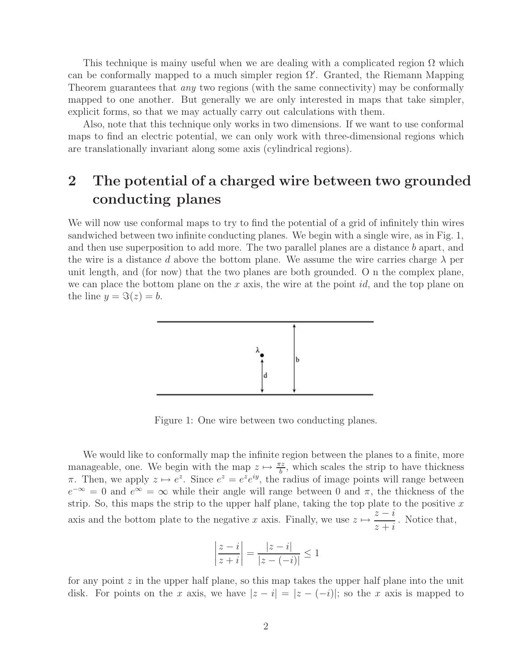This technique is mainy useful when we are dealing with a complicated region  $\Omega$  which can be conformally mapped to a much simpler region  $\Omega'$ . Granted, the Riemann Mapping Theorem guarantees that *any* two regions (with the same connectivity) may be conformally mapped to one another. But generally we are only interested in maps that take simpler, explicit forms, so that we may actually carry out calculations with them.

Also, note that this technique only works in two dimensions. If we want to use conformal maps to find an electric potential, we can only work with three-dimensional regions which are translationally invariant along some axis (cylindrical regions).

# **2 The potential of a charged wire between two grounded conducting planes**

We will now use conformal maps to try to find the potential of a grid of infinitely thin wires sandwiched between two infinite conducting planes. We begin with a single wire, as in Fig. 1, and then use superposition to add more. The two parallel planes are a distance b apart, and the wire is a distance d above the bottom plane. We assume the wire carries charge  $\lambda$  per unit length, and (for now) that the two planes are both grounded. O n the complex plane, we can place the bottom plane on the x axis, the wire at the point  $id$ , and the top plane on the line  $y = \Im(z) = b$ .



Figure 1: One wire between two conducting planes.

We would like to conformally map the infinite region between the planes to a finite, more manageable, one. We begin with the map  $z \mapsto \frac{\pi z}{b}$ , which scales the strip to have thickness  $\pi$ . Then, we apply  $z \mapsto e^z$ . Since  $e^z = e^z e^{iy}$ , the radius of image points will range between  $e^{-\infty} = 0$  and  $e^{\infty} = \infty$  while their angle will range between 0 and  $\pi$ , the thickness of the strip. So, this maps the strip to the upper half plane, taking the top plate to the positive  $x$ axis and the bottom plate to the negative x axis. Finally, we use  $z \mapsto \frac{z-i}{z+i}$ . Notice that,

$$
\left|\frac{z-i}{z+i}\right| = \frac{|z-i|}{|z-(-i)|} \le 1
$$

for any point  $z$  in the upper half plane, so this map takes the upper half plane into the unit disk. For points on the x axis, we have  $|z - i| = |z - (-i)|$ ; so the x axis is mapped to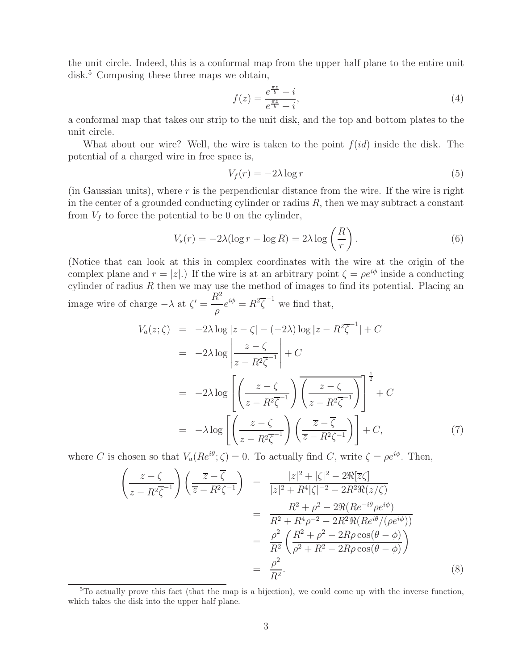the unit circle. Indeed, this is a conformal map from the upper half plane to the entire unit disk.<sup>5</sup> Composing these three maps we obtain,

$$
f(z) = \frac{e^{\frac{\pi z}{b}} - i}{e^{\frac{\pi z}{b}} + i},\tag{4}
$$

a conformal map that takes our strip to the unit disk, and the top and bottom plates to the unit circle.

What about our wire? Well, the wire is taken to the point  $f(id)$  inside the disk. The potential of a charged wire in free space is,

$$
V_f(r) = -2\lambda \log r \tag{5}
$$

(in Gaussian units), where  $r$  is the perpendicular distance from the wire. If the wire is right in the center of a grounded conducting cylinder or radius  $R$ , then we may subtract a constant from  $V_f$  to force the potential to be 0 on the cylinder,

$$
V_s(r) = -2\lambda(\log r - \log R) = 2\lambda \log \left(\frac{R}{r}\right). \tag{6}
$$

(Notice that can look at this in complex coordinates with the wire at the origin of the complex plane and  $r = |z|$ .) If the wire is at an arbitrary point  $\zeta = \rho e^{i\phi}$  inside a conducting cylinder of radius  $R$  then we may use the method of images to find its potential. Placing an

image wire of charge  $-\lambda$  at  $\zeta' = \frac{R^2}{a}$  $\frac{\partial}{\partial}e^{i\phi} = R^2\overline{\zeta}^{-1}$  we find that,

$$
V_a(z;\zeta) = -2\lambda \log |z - \zeta| - (-2\lambda) \log |z - R^2 \overline{\zeta}^{-1}| + C
$$
  
\n
$$
= -2\lambda \log \left| \frac{z - \zeta}{z - R^2 \overline{\zeta}^{-1}} \right| + C
$$
  
\n
$$
= -2\lambda \log \left[ \left( \frac{z - \zeta}{z - R^2 \overline{\zeta}^{-1}} \right) \overline{\left( \frac{z - \zeta}{z - R^2 \overline{\zeta}^{-1}} \right)} \right]^{\frac{1}{2}} + C
$$
  
\n
$$
= -\lambda \log \left[ \left( \frac{z - \zeta}{z - R^2 \overline{\zeta}^{-1}} \right) \left( \frac{\overline{z} - \overline{\zeta}}{\overline{z} - R^2 \zeta^{-1}} \right) \right] + C,
$$
 (7)

where C is chosen so that  $V_a(Re^{i\theta}; \zeta) = 0$ . To actually find C, write  $\zeta = \rho e^{i\phi}$ . Then,

$$
\begin{aligned}\n\left(\frac{z-\zeta}{z-R^2\overline{\zeta}^{-1}}\right)\left(\frac{\overline{z}-\overline{\zeta}}{\overline{z}-R^2\zeta^{-1}}\right) &= \frac{|z|^2+|\zeta|^2-2\Re[\overline{z}\zeta]}{|z|^2+R^4|\zeta|^{-2}-2R^2\Re(z/\zeta)} \\
&= \frac{R^2+\rho^2-2\Re(Re^{-i\theta}\rho e^{i\phi})}{R^2+R^4\rho^{-2}-2R^2\Re(Re^{i\theta}/(\rho e^{i\phi}))} \\
&= \frac{\rho^2}{R^2}\left(\frac{R^2+\rho^2-2R\rho\cos(\theta-\phi)}{\rho^2+R^2-2R\rho\cos(\theta-\phi)}\right) \\
&= \frac{\rho^2}{R^2}.\n\end{aligned}
$$
\n(8)

<sup>5</sup>To actually prove this fact (that the map is a bijection), we could come up with the inverse function, which takes the disk into the upper half plane.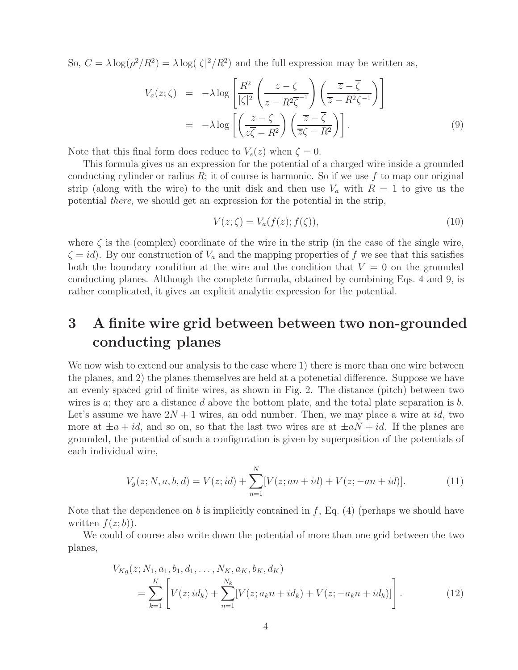So,  $C = \lambda \log(\rho^2/R^2) = \lambda \log(|\zeta|^2/R^2)$  and the full expression may be written as,

$$
V_a(z;\zeta) = -\lambda \log \left[ \frac{R^2}{|\zeta|^2} \left( \frac{z-\zeta}{z-R^2\overline{\zeta}^{-1}} \right) \left( \frac{\overline{z}-\overline{\zeta}}{\overline{z}-R^2\zeta^{-1}} \right) \right]
$$
  
=  $-\lambda \log \left[ \left( \frac{z-\zeta}{z\overline{\zeta}-R^2} \right) \left( \frac{\overline{z}-\overline{\zeta}}{\overline{z}\zeta-R^2} \right) \right].$  (9)

Note that this final form does reduce to  $V_s(z)$  when  $\zeta = 0$ .

This formula gives us an expression for the potential of a charged wire inside a grounded conducting cylinder or radius  $R$ ; it of course is harmonic. So if we use f to map our original strip (along with the wire) to the unit disk and then use  $V_a$  with  $R = 1$  to give us the potential there, we should get an expression for the potential in the strip,

$$
V(z; \zeta) = V_a(f(z); f(\zeta)),\tag{10}
$$

where  $\zeta$  is the (complex) coordinate of the wire in the strip (in the case of the single wire,  $\zeta = id$ . By our construction of  $V_a$  and the mapping properties of f we see that this satisfies both the boundary condition at the wire and the condition that  $V = 0$  on the grounded conducting planes. Although the complete formula, obtained by combining Eqs. 4 and 9, is rather complicated, it gives an explicit analytic expression for the potential.

# **3 A finite wire grid between between two non-grounded conducting planes**

We now wish to extend our analysis to the case where 1) there is more than one wire between the planes, and 2) the planes themselves are held at a potenetial difference. Suppose we have an evenly spaced grid of finite wires, as shown in Fig. 2. The distance (pitch) between two wires is  $a$ ; they are a distance  $d$  above the bottom plate, and the total plate separation is  $b$ . Let's assume we have  $2N + 1$  wires, an odd number. Then, we may place a wire at id, two more at  $\pm a + id$ , and so on, so that the last two wires are at  $\pm aN + id$ . If the planes are grounded, the potential of such a configuration is given by superposition of the potentials of each individual wire,

$$
V_g(z; N, a, b, d) = V(z; id) + \sum_{n=1}^{N} [V(z; an + id) + V(z; -an + id)].
$$
 (11)

Note that the dependence on b is implicitly contained in  $f$ , Eq. (4) (perhaps we should have written  $f(z; b)$ .

We could of course also write down the potential of more than one grid between the two planes,

$$
V_{Kg}(z; N_1, a_1, b_1, d_1, \dots, N_K, a_K, b_K, d_K)
$$
  
= 
$$
\sum_{k=1}^K \left[ V(z; id_k) + \sum_{n=1}^{N_k} [V(z; a_k n + id_k) + V(z; -a_k n + id_k)] \right].
$$
 (12)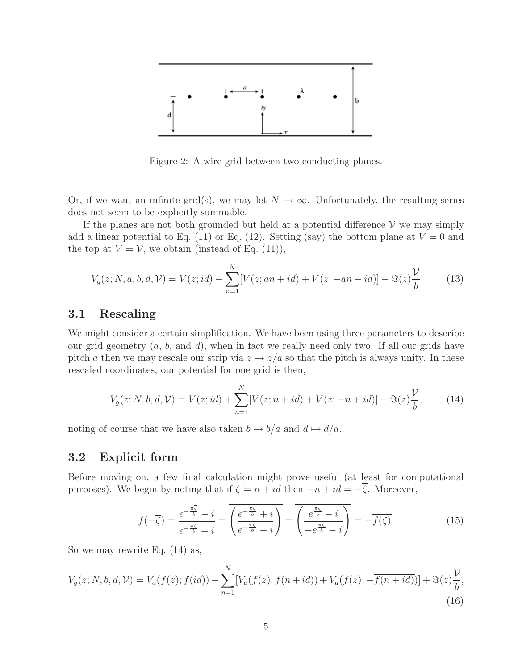

Figure 2: A wire grid between two conducting planes.

Or, if we want an infinite grid(s), we may let  $N \to \infty$ . Unfortunately, the resulting series does not seem to be explicitly summable.

If the planes are not both grounded but held at a potential difference  $\mathcal V$  we may simply add a linear potential to Eq. (11) or Eq. (12). Setting (say) the bottom plane at  $V = 0$  and the top at  $V = V$ , we obtain (instead of Eq. (11)),

$$
V_g(z; N, a, b, d, \mathcal{V}) = V(z; id) + \sum_{n=1}^{N} [V(z; an + id) + V(z; -an + id)] + \Im(z) \frac{\mathcal{V}}{b}.
$$
 (13)

#### **3.1 Rescaling**

We might consider a certain simplification. We have been using three parameters to describe our grid geometry  $(a, b, \text{ and } d)$ , when in fact we really need only two. If all our grids have pitch a then we may rescale our strip via  $z \mapsto z/a$  so that the pitch is always unity. In these rescaled coordinates, our potential for one grid is then,

$$
V_g(z; N, b, d, \mathcal{V}) = V(z; id) + \sum_{n=1}^{N} [V(z; n + id) + V(z; -n + id)] + \Im(z) \frac{\mathcal{V}}{b}, \quad (14)
$$

noting of course that we have also taken  $b \mapsto b/a$  and  $d \mapsto d/a$ .

## **3.2 Explicit form**

Before moving on, a few final calculation might prove useful (at least for computational purposes). We begin by noting that if  $\zeta = n + id$  then  $-n + id = -\overline{\zeta}$ . Moreover,

$$
f(-\overline{\zeta}) = \frac{e^{-\frac{\pi\overline{\zeta}}{b}} - i}{e^{-\frac{\pi\overline{\zeta}}{b}} + i} = \overline{\left(\frac{e^{-\frac{\pi\zeta}{b}} + i}{e^{-\frac{\pi\zeta}{b}} - i}\right)} = \overline{\left(\frac{e^{\frac{\pi\zeta}{b}} - i}{-e^{\frac{\pi\zeta}{b}} - i}\right)} = -\overline{f(\zeta)}.
$$
 (15)

So we may rewrite Eq. (14) as,

$$
V_g(z; N, b, d, \mathcal{V}) = V_a(f(z); f(id)) + \sum_{n=1}^{N} [V_a(f(z); f(n+id)) + V_a(f(z); -\overline{f(n+id)})] + \Im(z) \frac{\mathcal{V}}{b},
$$
\n(16)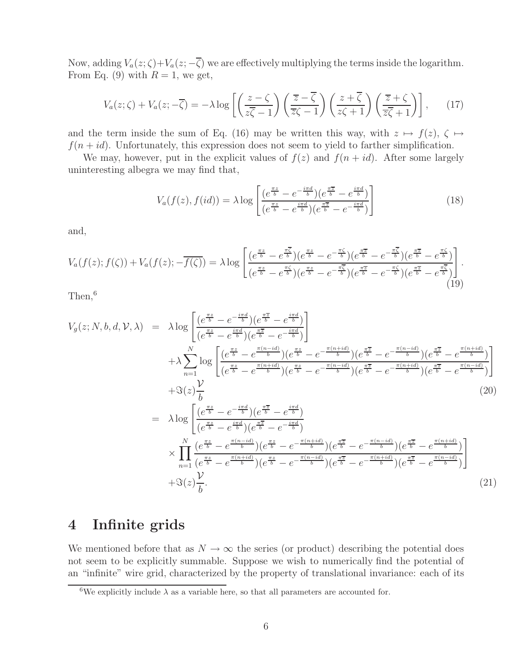Now, adding  $V_a(z;\zeta) + V_a(z; -\overline{\zeta})$  we are effectively multiplying the terms inside the logarithm. From Eq. (9) with  $R = 1$ , we get,

$$
V_a(z;\zeta) + V_a(z;-\overline{\zeta}) = -\lambda \log \left[ \left( \frac{z-\zeta}{z\overline{\zeta}-1} \right) \left( \frac{\overline{z}-\overline{\zeta}}{\overline{z}\zeta-1} \right) \left( \frac{z+\overline{\zeta}}{z\zeta+1} \right) \left( \frac{\overline{z}+\zeta}{z\overline{\zeta}+1} \right) \right], \qquad (17)
$$

and the term inside the sum of Eq. (16) may be written this way, with  $z \mapsto f(z)$ ,  $\zeta \mapsto$  $f(n + id)$ . Unfortunately, this expression does not seem to yield to farther simplification.

We may, however, put in the explicit values of  $f(z)$  and  $f(n + id)$ . After some largely uninteresting albegra we may find that,

$$
V_a(f(z), f(id)) = \lambda \log \left[ \frac{(e^{\frac{\pi z}{b}} - e^{-\frac{i\pi d}{b}})(e^{\frac{\pi \overline{z}}{b}} - e^{\frac{i\pi d}{b}})}{(e^{\frac{\pi z}{b}} - e^{\frac{i\pi d}{b}})(e^{\frac{\pi \overline{z}}{b}} - e^{-\frac{i\pi d}{b}})} \right]
$$
(18)

and,

$$
V_a(f(z);f(\zeta)) + V_a(f(z);-\overline{f(\zeta)}) = \lambda \log \left[ \frac{(e^{\frac{\pi z}{b}} - e^{\frac{\pi \zeta}{b}})(e^{\frac{\pi z}{b}} - e^{-\frac{\pi \zeta}{b}})(e^{\frac{\pi \overline{z}}{b}} - e^{-\frac{\pi \overline{\zeta}}{b}})(e^{\frac{\pi \overline{z}}{b}} - e^{-\frac{\pi \overline{\zeta}}{b}})(e^{\frac{\pi \overline{z}}{b}} - e^{\frac{\pi \overline{\zeta}}{b}})}{(e^{\frac{\pi z}{b}} - e^{-\frac{\pi \overline{\zeta}}{b}})(e^{\frac{\pi \overline{z}}{b}} - e^{-\frac{\pi \overline{\zeta}}{b}})(e^{\frac{\pi \overline{z}}{b}} - e^{\frac{\pi \overline{\zeta}}{b}})} \right].
$$
\n(19)

Then,<sup>6</sup>

$$
V_g(z; N, b, d, \mathcal{V}, \lambda) = \lambda \log \left[ \frac{(e^{\frac{\pi z}{b}} - e^{-\frac{i\pi d}{b}})(e^{\frac{\pi z}{b}} - e^{-\frac{i\pi d}{b}})}{(e^{\frac{\pi z}{b}} - e^{-\frac{i\pi d}{b}})(e^{\frac{\pi z}{b}} - e^{-\frac{i\pi d}{b}})} \right] + \lambda \sum_{n=1}^{N} \log \left[ \frac{(e^{\frac{\pi z}{b}} - e^{-\frac{\pi (n - id)}{b}})(e^{\frac{\pi z}{b}} - e^{-\frac{\pi (n + id)}{b}})(e^{\frac{\pi z}{b}} - e^{-\frac{\pi (n + id)}{b}})(e^{\frac{\pi z}{b}} - e^{-\frac{\pi (n + id)}{b}})(e^{\frac{\pi z}{b}} - e^{-\frac{\pi (n + id)}{b}})(e^{\frac{\pi z}{b}} - e^{-\frac{\pi (n + id)}{b}})) \right] + \Im(z) \frac{\mathcal{V}}{b} = \lambda \log \left[ \frac{(e^{\frac{\pi z}{b}} - e^{-\frac{i\pi d}{b}})(e^{\frac{\pi z}{b}} - e^{-\frac{i\pi d}{b}})}{(e^{\frac{\pi z}{b}} - e^{-\frac{i\pi d}{b}})(e^{\frac{\pi z}{b}} - e^{-\frac{i\pi d}{b}})} \times \prod_{n=1}^{N} \frac{(e^{\frac{\pi z}{b}} - e^{-\frac{i\pi d}{b}})(e^{\frac{\pi z}{b}} - e^{-\frac{i\pi d}{b}})}{(e^{\frac{\pi z}{b}} - e^{-\frac{\pi (n + id)}{b}})(e^{\frac{\pi z}{b}} - e^{-\frac{\pi (n + id)}{b}})(e^{\frac{\pi z}{b}} - e^{-\frac{\pi (n + id)}{b}})(e^{\frac{\pi z}{b}} - e^{-\frac{\pi (n + id)}{b}}))
$$
  
+  $\Im(z) \frac{\mathcal{V}}{b}$ . (21)

## **4 Infinite grids**

We mentioned before that as  $N \to \infty$  the series (or product) describing the potential does not seem to be explicitly summable. Suppose we wish to numerically find the potential of an "infinite" wire grid, characterized by the property of translational invariance: each of its

<sup>&</sup>lt;sup>6</sup>We explicitly include  $\lambda$  as a variable here, so that all parameters are accounted for.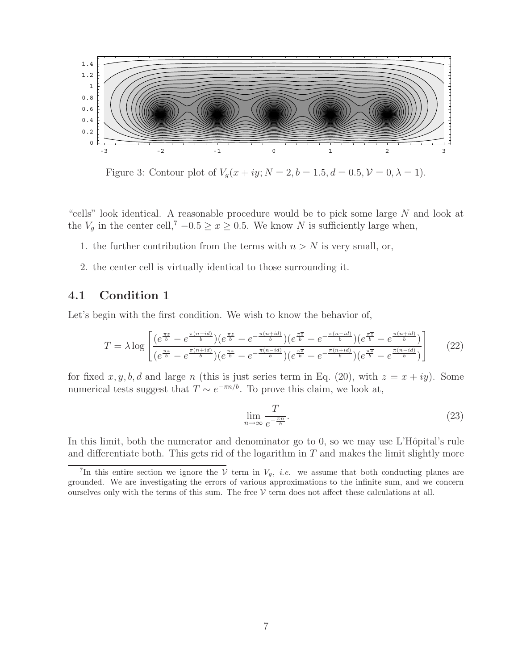

Figure 3: Contour plot of  $V_g(x+iy; N = 2, b = 1.5, d = 0.5, V = 0, \lambda = 1)$ .

"cells" look identical. A reasonable procedure would be to pick some large N and look at the  $V_g$  in the center cell,<sup>7</sup> –0.5 ≥  $x \ge 0.5$ . We know N is sufficiently large when,

- 1. the further contribution from the terms with  $n>N$  is very small, or,
- 2. the center cell is virtually identical to those surrounding it.

### **4.1 Condition 1**

Let's begin with the first condition. We wish to know the behavior of,

$$
T = \lambda \log \left[ \frac{(e^{\frac{\pi z}{b}} - e^{\frac{\pi (n - id)}{b}})(e^{\frac{\pi z}{b}} - e^{-\frac{\pi (n + id)}{b}})(e^{\frac{\pi z}{b}} - e^{-\frac{\pi (n - id)}{b}})(e^{\frac{\pi z}{b}} - e^{-\frac{\pi (n + id)}{b}})(e^{\frac{\pi z}{b}} - e^{\frac{\pi (n + id)}{b}})}{(e^{\frac{\pi z}{b}} - e^{-\frac{\pi (n + id)}{b}})(e^{\frac{\pi z}{b}} - e^{-\frac{\pi (n + id)}{b}})(e^{\frac{\pi z}{b}} - e^{\frac{\pi (n - id)}{b}})} \right]
$$
(22)

for fixed x, y, b, d and large n (this is just series term in Eq. (20), with  $z = x + iy$ . Some numerical tests suggest that  $T \sim e^{-\pi n/b}$ . To prove this claim, we look at,

$$
\lim_{n \to \infty} \frac{T}{e^{-\frac{\pi n}{b}}}.\tag{23}
$$

In this limit, both the numerator and denominator go to  $0$ , so we may use L'Hôpital's rule and differentiate both. This gets rid of the logarithm in  $T$  and makes the limit slightly more

<sup>&</sup>lt;sup>7</sup>In this entire section we ignore the  $\dot{V}$  term in  $V_g$ , *i.e.* we assume that both conducting planes are grounded. We are investigating the errors of various approximations to the infinite sum, and we concern ourselves only with the terms of this sum. The free  $V$  term does not affect these calculations at all.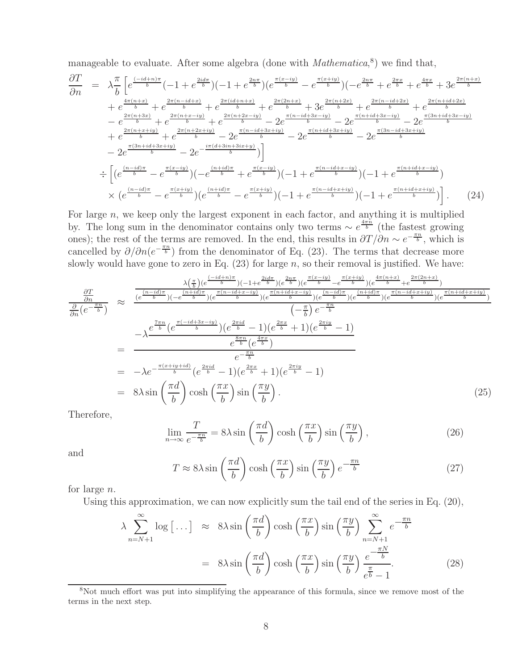manageable to evaluate. After some algebra (done with *Mathematica*,<sup>8</sup>) we find that,

$$
\frac{\partial T}{\partial n} = \lambda \frac{\pi}{b} \left[ e^{\frac{(-id+n)\pi}{b}} (-1 + e^{\frac{2id\pi}{b}}) (-1 + e^{\frac{2n\pi}{b}}) (e^{\frac{\pi(x-iy)}{b}} - e^{\frac{\pi(x+iy)}{b}}) (-e^{\frac{2\pi\pi}{b}} + e^{\frac{2\pi x}{b}} + e^{\frac{4\pi x}{b}} + 3e^{\frac{2\pi(n+2x)}{b}} e^{\frac{2\pi(n+4x)}{b}} + e^{\frac{2\pi(n+4x)}{b}} + e^{\frac{2\pi(n+4x)}{b}} + e^{\frac{2\pi(n+2x)}{b}} + 3e^{\frac{2\pi(n+2x)}{b}} + e^{\frac{2\pi(n+4x)}{b}} + e^{\frac{2\pi(n+3x)}{b}} + e^{\frac{2\pi(n+3x)}{b}} + e^{\frac{2\pi(n+3x)}{b}} + e^{\frac{2\pi(n+3x)}{b}} + e^{\frac{2\pi(n+2x+iy)}{b}} - 2e^{\frac{\pi(n-id+3x-iy)}{b}} - 2e^{\frac{\pi(n+id+3x-iy)}{b}} - 2e^{\frac{\pi(n+3x+iy)}{b}} - 2e^{\frac{\pi(n+3x+iy)}{b}} - 2e^{\frac{\pi(3n-id+3x+iy)}{b}} - 2e^{\frac{\pi(3n-id+3x+iy)}{b}} - 2e^{\frac{\pi(3n-id+3x+iy)}{b}} - 2e^{\frac{\pi(3n-id+3x+iy)}{b}} - 2e^{\frac{\pi(3n-id+3x+iy)}{b}} - 2e^{\frac{\pi(3n-id+3x+iy)}{b}} - 2e^{\frac{\pi(n+id+3x+iy)}{b}} - 2e^{\frac{\pi(n+id+3x+iy)}{b}} - 2e^{\frac{\pi(n+id+3x+iy)}{b}} - 2e^{\frac{\pi(n+id+3x+iy)}{b}} - 2e^{\frac{\pi(n+id+3x+iy)}{b}} - 2e^{\frac{\pi(n+id+3x+iy)}{b}} - 2e^{\frac{\pi(n+id+3x+iy)}{b}} - 2e^{\frac{\pi(n+id+3x+iy)}{b}} - 2e^{\frac{\pi(n+id+3x+iy)}{b}} - 2e^{\frac
$$

For large  $n$ , we keep only the largest exponent in each factor, and anything it is multiplied by. The long sum in the denominator contains only two terms  $\sim e^{\frac{4\pi n}{b}}$  (the fastest growing ones); the rest of the terms are removed. In the end, this results in  $\frac{\partial T}{\partial n} \sim e^{-\frac{\pi n}{b}}$ , which is cancelled by  $\partial/\partial n(e^{-\frac{\pi n}{b}})$  from the denominator of Eq. (23). The terms that decrease more slowly would have gone to zero in Eq.  $(23)$  for large n, so their removal is justified. We have:

$$
\frac{\frac{\partial T}{\partial n}}{\frac{\partial n}{\partial n}(e^{-\frac{\pi n}{b}})} \approx \frac{\frac{\lambda(\frac{\pi}{b})(e^{\frac{(-id+n)\pi}{b}})(-1+e^{\frac{2id\pi}{b}})(e^{\frac{\pi(n-id-\pi)}{b}})(e^{\frac{\pi(x-iy)}{b}}-e^{\frac{\pi(x+iy)}{b}})(e^{\frac{4\pi(n+x)}{b}}+e^{\frac{2\pi(2n+x)}{b}})}{\frac{\pi(n-id-\pi)}{b}}}{\frac{\partial}{\partial n}(e^{-\frac{\pi n}{b}})} \approx \frac{\frac{\frac{\lambda(\frac{\pi}{b})(e^{\frac{(n-id-\pi)}{b}})(e^{\frac{\pi(n-id+\pi-xiy)}{b}})(e^{\frac{\pi(n+id+\pi-xiy)}{b}})(e^{\frac{\pi(n+id-\pi)}{b}})(e^{\frac{\pi(n-id+\pi+xiy)}{b}})(e^{\frac{\pi(n-id+\pi+xiy)}{b}})}{\frac{\pi(n-id-\pi)}{b}}}{\frac{\pi(n-id-\pi)}{b}}}{\frac{e^{-\frac{\pi n}{b}}}{e^{-\frac{\pi n}{b}}}}}
$$
\n
$$
= \frac{\lambda e^{-\frac{\pi(\pi+y+id)}{b}}(e^{\frac{\pi(-id+\pi x-iy)}{b}})(e^{\frac{2\pi id}{b}}-1)(e^{\frac{2\pi x}{b}}+1)(e^{\frac{2\pi iy}{b}}-1)}{e^{-\frac{\pi n}{b}}}}}{\frac{e^{-\frac{\pi n}{b}}}{\frac{\pi n}{b}}}
$$
\n
$$
= \lambda e^{-\frac{\pi(x+iy+id)}{b}}(e^{\frac{2\pi id}{b}}-1)(e^{\frac{2\pi x}{b}}+1)(e^{\frac{2\pi iy}{b}}-1)} \tag{25}
$$
\n
$$
\Gamma \text{ with } \Gamma \text{ with } \Gamma \text{ with } \Gamma \text{ with } \Gamma \text{ with } \Gamma \text{ with } \Gamma \text{ with } \Gamma \text{ with } \Gamma \text{ with } \Gamma \text{ with } \Gamma \text{ with } \Gamma \text{ with } \Gamma \text{ with } \Gamma \text{ with } \Gamma \text{ with } \Gamma \text{ with } \Gamma \text{ with } \Gamma \text{ with } \Gamma \text{ with } \Gamma \text{ with } \Gamma \text{ with } \Gamma \text{ with } \Gamma \text{ with } \Gamma \text{ with } \Gamma \text{ with } \Gamma \text{ with }
$$

Therefore,

$$
\lim_{n \to \infty} \frac{T}{e^{-\frac{\pi n}{b}}} = 8\lambda \sin\left(\frac{\pi d}{b}\right) \cosh\left(\frac{\pi x}{b}\right) \sin\left(\frac{\pi y}{b}\right),\tag{26}
$$

and

$$
T \approx 8\lambda \sin\left(\frac{\pi d}{b}\right) \cosh\left(\frac{\pi x}{b}\right) \sin\left(\frac{\pi y}{b}\right) e^{-\frac{\pi n}{b}} \tag{27}
$$

for large n.

Using this approximation, we can now explicitly sum the tail end of the series in Eq. (20),

$$
\lambda \sum_{n=N+1}^{\infty} \log \left[ \dots \right] \approx 8\lambda \sin \left( \frac{\pi d}{b} \right) \cosh \left( \frac{\pi x}{b} \right) \sin \left( \frac{\pi y}{b} \right) \sum_{n=N+1}^{\infty} e^{-\frac{\pi n}{b}}
$$

$$
= 8\lambda \sin \left( \frac{\pi d}{b} \right) \cosh \left( \frac{\pi x}{b} \right) \sin \left( \frac{\pi y}{b} \right) \frac{e^{-\frac{\pi N}{b}}}{e^{\frac{\pi}{b}} - 1}.
$$
(28)

<sup>8</sup>Not much effort was put into simplifying the appearance of this formula, since we remove most of the terms in the next step.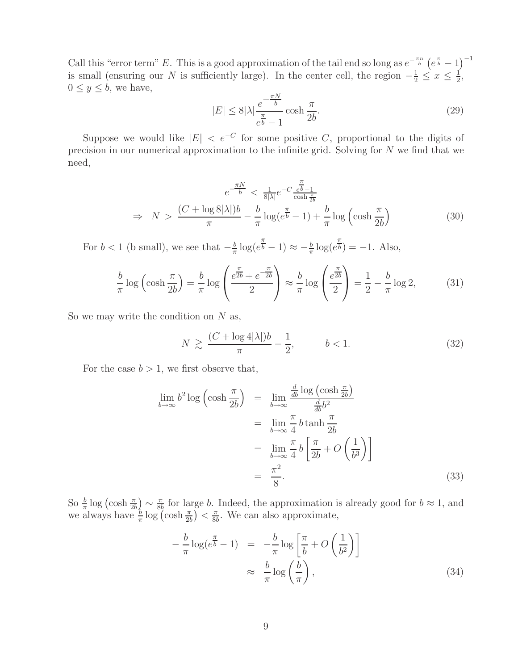Call this "error term" E. This is a good approximation of the tail end so long as  $e^{-\frac{\pi n}{b}}$   $(e^{\frac{\pi}{b}} - 1)^{-1}$ is small (ensuring our N is sufficiently large). In the center cell, the region  $-\frac{1}{2} \le x \le \frac{1}{2}$ ,  $0 \le y \le b$  we have  $0 \le y \le b$ , we have,

$$
|E| \le 8|\lambda| \frac{e^{-\frac{\pi N}{b}}}{e^{\frac{\pi}{b}} - 1} \cosh \frac{\pi}{2b}.
$$
 (29)

Suppose we would like  $|E| < e^{-C}$  for some positive C, proportional to the digits of precision in our numerical approximation to the infinite grid. Solving for N we find that we need,

$$
e^{-\frac{\pi N}{b}} < \frac{1}{8|\lambda|} e^{-C} \frac{e^{\frac{\pi}{b}} - 1}{\cosh \frac{\pi}{2b}}
$$
\n
$$
\Rightarrow N > \frac{(C + \log 8|\lambda|)b}{\pi} - \frac{b}{\pi} \log(e^{\frac{\pi}{b}} - 1) + \frac{b}{\pi} \log\left(\cosh \frac{\pi}{2b}\right) \tag{30}
$$

For  $b < 1$  (b small), we see that  $-\frac{b}{\pi} \log(e^{\frac{\pi}{b}} - 1) \approx -\frac{b}{\pi} \log(e^{\frac{\pi}{b}}) = -1$ . Also,

$$
\frac{b}{\pi}\log\left(\cosh\frac{\pi}{2b}\right) = \frac{b}{\pi}\log\left(\frac{e^{\frac{\pi}{2b}} + e^{-\frac{\pi}{2b}}}{2}\right) \approx \frac{b}{\pi}\log\left(\frac{e^{\frac{\pi}{2b}}}{2}\right) = \frac{1}{2} - \frac{b}{\pi}\log 2,\tag{31}
$$

So we may write the condition on  $N$  as,

$$
N \ge \frac{(C + \log 4|\lambda|)b}{\pi} - \frac{1}{2}, \qquad b < 1. \tag{32}
$$

For the case  $b > 1$ , we first observe that,

$$
\lim_{b \to \infty} b^2 \log \left( \cosh \frac{\pi}{2b} \right) = \lim_{b \to \infty} \frac{\frac{d}{db} \log \left( \cosh \frac{\pi}{2b} \right)}{\frac{d}{db} b^2}
$$
\n
$$
= \lim_{b \to \infty} \frac{\pi}{4} b \tanh \frac{\pi}{2b}
$$
\n
$$
= \lim_{b \to \infty} \frac{\pi}{4} b \left[ \frac{\pi}{2b} + O \left( \frac{1}{b^3} \right) \right]
$$
\n
$$
= \frac{\pi^2}{8}.
$$
\n(33)

So  $\frac{b}{\pi}$  log (cosh  $\frac{\pi}{2l}$ So  $\frac{b}{\pi}$  log  $\left(\cosh \frac{\pi}{2b}\right) \sim \frac{\pi}{8b}$  for large b. Indeed, the approximation is already good for  $b \approx 1$ , and we always have  $\frac{b}{\pi}$  log  $\left(\cosh \frac{\pi}{2b}\right) < \frac{\pi}{8b}$ . We can also approximate,  $\left(\frac{\pi}{2b}\right) < \frac{\pi}{8b}$ . We can also approximate,

$$
-\frac{b}{\pi}\log(e^{\frac{\pi}{b}}-1) = -\frac{b}{\pi}\log\left(\frac{\pi}{b}+O\left(\frac{1}{b^2}\right)\right)
$$

$$
\approx \frac{b}{\pi}\log\left(\frac{b}{\pi}\right),\tag{34}
$$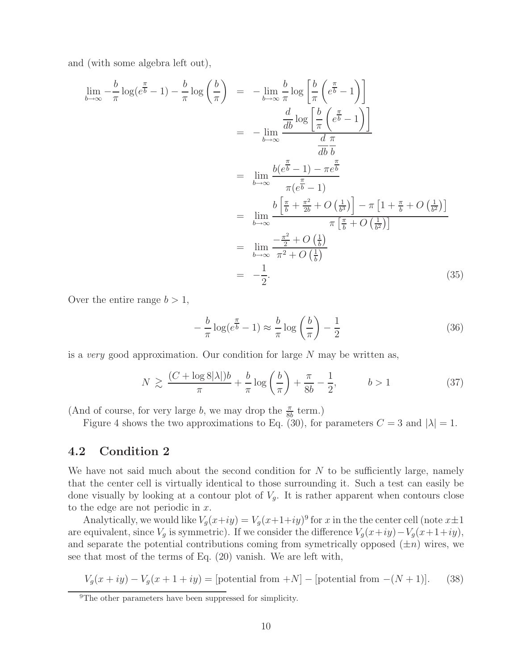and (with some algebra left out),

$$
\lim_{b \to \infty} -\frac{b}{\pi} \log(e^{\frac{\pi}{b}} - 1) - \frac{b}{\pi} \log\left(\frac{b}{\pi}\right) = -\lim_{b \to \infty} \frac{b}{\pi} \log\left[\frac{b}{\pi}\left(e^{\frac{\pi}{b}} - 1\right)\right]
$$
\n
$$
= -\lim_{b \to \infty} \frac{\frac{d}{db} \log\left[\frac{b}{\pi}\left(e^{\frac{\pi}{b}} - 1\right)\right]}{\frac{d}{db} \frac{\pi}{b}}
$$
\n
$$
= \lim_{b \to \infty} \frac{b(e^{\frac{\pi}{b}} - 1) - \pi e^{\frac{\pi}{b}}}{\pi(e^{\frac{\pi}{b}} - 1)}
$$
\n
$$
= \lim_{b \to \infty} \frac{b\left[\frac{\pi}{b} + \frac{\pi^2}{2b} + O\left(\frac{1}{b^3}\right)\right] - \pi \left[1 + \frac{\pi}{b} + O\left(\frac{1}{b^2}\right)\right]}{\pi \left[\frac{\pi}{b} + O\left(\frac{1}{b^2}\right)\right]}
$$
\n
$$
= \lim_{b \to \infty} \frac{-\frac{\pi^2}{2} + O\left(\frac{1}{b}\right)}{\pi^2 + O\left(\frac{1}{b}\right)}
$$
\n
$$
= -\frac{1}{2}.
$$
\n(35)

Over the entire range  $b > 1$ ,

$$
-\frac{b}{\pi}\log(e^{\frac{\pi}{b}}-1) \approx \frac{b}{\pi}\log\left(\frac{b}{\pi}\right)-\frac{1}{2}
$$
 (36)

is a *very* good approximation. Our condition for large  $N$  may be written as,

$$
N \gtrsim \frac{(C + \log 8|\lambda|)b}{\pi} + \frac{b}{\pi} \log \left(\frac{b}{\pi}\right) + \frac{\pi}{8b} - \frac{1}{2}, \qquad b > 1 \tag{37}
$$

(And of course, for very large b, we may drop the  $\frac{\pi}{8b}$  term.)<br>Figure 4 shows the two approximations to Eq. (30) for

Figure 4 shows the two approximations to Eq. (30), for parameters  $C = 3$  and  $|\lambda| = 1$ .

### **4.2 Condition 2**

We have not said much about the second condition for  $N$  to be sufficiently large, namely that the center cell is virtually identical to those surrounding it. Such a test can easily be done visually by looking at a contour plot of  $V_g$ . It is rather apparent when contours close to the edge are not periodic in  $x$ .

Analytically, we would like  $V_q(x+iy) = V_q(x+1+iy)^9$  for x in the the center cell (note  $x\pm 1$ ) are equivalent, since  $V_g$  is symmetric). If we consider the difference  $V_g(x+iy)-V_g(x+1+iy)$ , and separate the potential contributions coming from symetrically opposed  $(\pm n)$  wires, we see that most of the terms of Eq. (20) vanish. We are left with,

$$
V_g(x + iy) - V_g(x + 1 + iy) = [potential from +N] - [potential from -(N + 1)].
$$
 (38)

<sup>&</sup>lt;sup>9</sup>The other parameters have been suppressed for simplicity.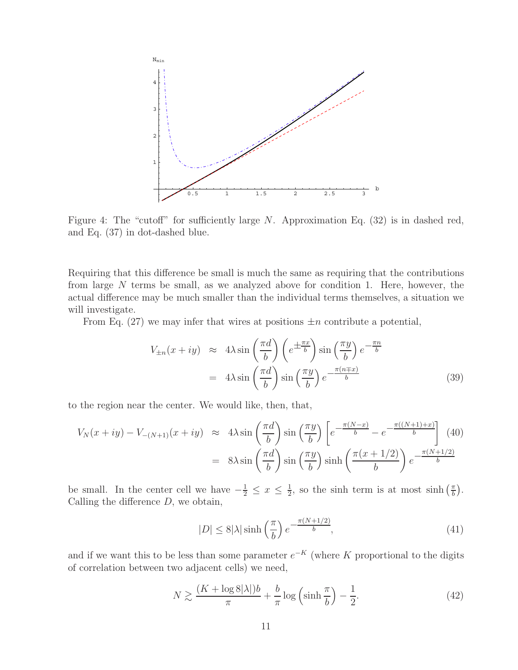

Figure 4: The "cutoff" for sufficiently large  $N$ . Approximation Eq. (32) is in dashed red, and Eq. (37) in dot-dashed blue.

Requiring that this difference be small is much the same as requiring that the contributions from large  $N$  terms be small, as we analyzed above for condition 1. Here, however, the actual difference may be much smaller than the individual terms themselves, a situation we will investigate.

From Eq. (27) we may infer that wires at positions  $\pm n$  contribute a potential,

$$
V_{\pm n}(x+iy) \approx 4\lambda \sin\left(\frac{\pi d}{b}\right) \left(e^{\pm \frac{\pi x}{b}}\right) \sin\left(\frac{\pi y}{b}\right) e^{-\frac{\pi n}{b}}
$$

$$
= 4\lambda \sin\left(\frac{\pi d}{b}\right) \sin\left(\frac{\pi y}{b}\right) e^{-\frac{\pi (n\mp x)}{b}}
$$
(39)

to the region near the center. We would like, then, that,

$$
V_N(x+iy) - V_{-(N+1)}(x+iy) \approx 4\lambda \sin\left(\frac{\pi d}{b}\right) \sin\left(\frac{\pi y}{b}\right) \left[e^{-\frac{\pi(N-x)}{b}} - e^{-\frac{\pi((N+1)+x)}{b}}\right] \tag{40}
$$

$$
= 8\lambda \sin\left(\frac{\pi d}{b}\right) \sin\left(\frac{\pi y}{b}\right) \sin\left(\frac{\pi(x+1/2)}{b}\right) e^{-\frac{\pi(N+1/2)}{b}}
$$

be small. In the center cell we have  $-\frac{1}{2} \le x \le \frac{1}{2}$ , so the sinh term is at most sinh  $(\frac{\pi}{b})$ .<br>Calling the difference D we obtain Calling the difference  $D$ , we obtain,

$$
|D| \le 8|\lambda|\sinh\left(\frac{\pi}{b}\right)e^{-\frac{\pi(N+1/2)}{b}},\tag{41}
$$

and if we want this to be less than some parameter  $e^{-K}$  (where K proportional to the digits of correlation between two adjacent cells) we need,

$$
N \gtrsim \frac{(K + \log 8|\lambda|)b}{\pi} + \frac{b}{\pi} \log \left(\sinh \frac{\pi}{b}\right) - \frac{1}{2}.\tag{42}
$$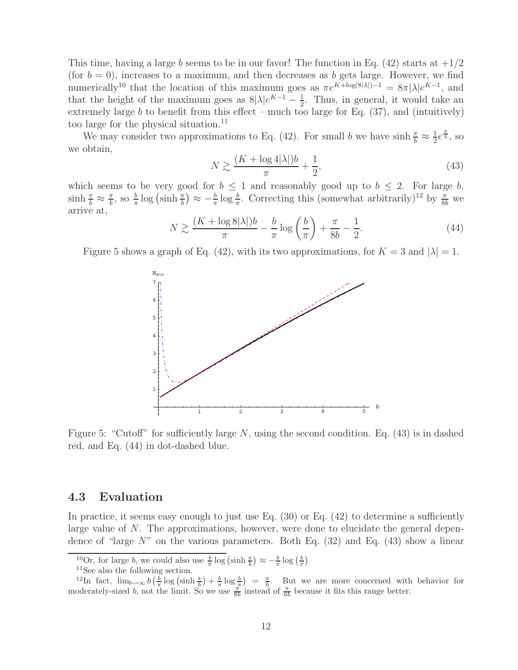This time, having a large b seems to be in our favor! The function in Eq.  $(42)$  starts at  $+1/2$ (for  $b = 0$ ), increases to a maximum, and then decreases as b gets large. However, we find numerically<sup>10</sup> that the location of this maximum goes as  $\pi e^{K+log(8|\lambda|)-1} = 8\pi |\lambda|e^{K-1}$ , and that the height of the maximum goes as  $8|\lambda|e^{K-1} - \frac{1}{2}$ . Thus, in general, it would take an extremely large h to benefit from this effect – much too large for Eq. (37) and (intuitively) extremely large b to benefit from this effect – much too large for Eq.  $(37)$ , and  $(intuitively)$ too large for the physical situation.<sup>11</sup>

We may consider two approximations to Eq. (42). For small b we have  $\sinh \frac{\pi}{b} \approx \frac{1}{2} e^{\frac{\pi}{b}}$ , so obtain we obtain,

$$
N \gtrsim \frac{(K + \log 4|\lambda|)b}{\pi} + \frac{1}{2},\tag{43}
$$

which seems to be very good for  $b \leq 1$  and reasonably good up to  $b \leq 2$ . For large b,  $\sinh \frac{\pi}{b} \approx \frac{\pi}{b}$ , so  $\frac{b}{\pi} \log \left( \sinh \frac{\pi}{b} \right) \approx -\frac{b}{\pi} \log \frac{b}{\pi}$ . Correcting this (somewhat arbitrarily)<sup>12</sup> by  $\frac{\pi}{8b}$  we arrive at,

$$
N \gtrsim \frac{(K + \log 8|\lambda|)b}{\pi} - \frac{b}{\pi} \log \left(\frac{b}{\pi}\right) + \frac{\pi}{8b} - \frac{1}{2}.\tag{44}
$$

Figure 5 shows a graph of Eq. (42), with its two approximations, for  $K = 3$  and  $|\lambda| = 1$ .



Figure 5: "Cutoff" for sufficiently large N, using the second condition. Eq. (43) is in dashed red, and Eq. (44) in dot-dashed blue.

#### **4.3 Evaluation**

In practice, it seems easy enough to just use Eq.  $(30)$  or Eq.  $(42)$  to determine a sufficiently large value of N. The approximations, however, were done to elucidate the general dependence of "large  $N$ " on the various parameters. Both Eq.  $(32)$  and Eq.  $(43)$  show a linear

<sup>&</sup>lt;sup>10</sup>Or, for large *b*, we could also use  $\frac{b}{\pi} \log \left( \sinh \frac{\pi}{b} \right)$  $\frac{\partial}{\partial t} \approx -\frac{b}{\pi} \log \left( \frac{b}{\pi} \right)$  $\mathcal{E}$ 

<sup>11</sup>See also the following section.

<sup>&</sup>lt;sup>12</sup>In fact,  $\lim_{b\to\infty} b\left(\frac{b}{\pi}\log\left(\sinh\frac{\pi}{b}\right)\right)$  $+\frac{b}{\pi}\log\frac{b}{\pi} = \frac{\pi}{6}$ . But we are more concerned with behavior for  $\frac{b}{\pi}$  instead of  $\frac{\pi}{\pi}$  because it fits this range better moderately-sized b, not the limit. So we use  $\frac{\pi}{8b}$  instead of  $\frac{\pi}{6b}$  because it fits this range better.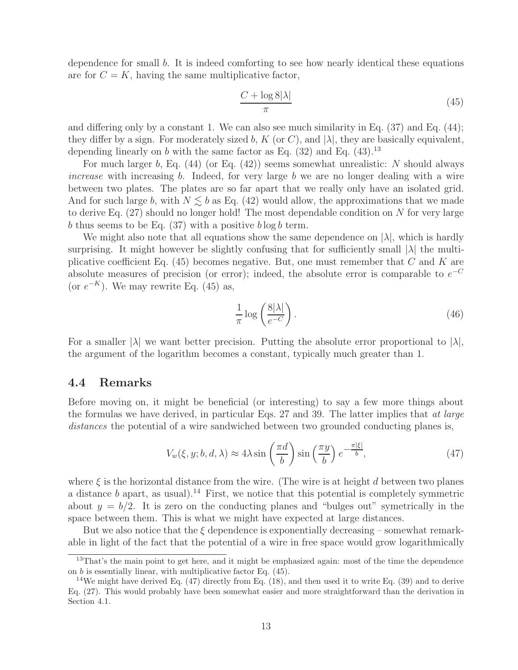dependence for small b. It is indeed comforting to see how nearly identical these equations are for  $C = K$ , having the same multiplicative factor,

$$
\frac{C + \log 8|\lambda|}{\pi} \tag{45}
$$

and differing only by a constant 1. We can also see much similarity in Eq. (37) and Eq. (44); they differ by a sign. For moderately sized b, K (or C), and  $|\lambda|$ , they are basically equivalent, depending linearly on b with the same factor as Eq.  $(32)$  and Eq.  $(43)$ <sup>13</sup>

For much larger b, Eq.  $(44)$  (or Eq.  $(42)$ ) seems somewhat unrealistic: N should always increase with increasing  $b$ . Indeed, for very large  $b$  we are no longer dealing with a wire between two plates. The plates are so far apart that we really only have an isolated grid. And for such large b, with  $N \leq b$  as Eq. (42) would allow, the approximations that we made to derive Eq.  $(27)$  should no longer hold! The most dependable condition on N for very large b thus seems to be Eq.  $(37)$  with a positive blog b term.

We might also note that all equations show the same dependence on  $|\lambda|$ , which is hardly surprising. It might however be slightly confusing that for sufficiently small  $|\lambda|$  the multiplicative coefficient Eq.  $(45)$  becomes negative. But, one must remember that C and K are absolute measures of precision (or error); indeed, the absolute error is comparable to  $e^{-C}$ (or  $e^{-K}$ ). We may rewrite Eq. (45) as,

$$
\frac{1}{\pi} \log \left( \frac{8|\lambda|}{e^{-C}} \right). \tag{46}
$$

For a smaller  $|\lambda|$  we want better precision. Putting the absolute error proportional to  $|\lambda|$ , the argument of the logarithm becomes a constant, typically much greater than 1.

#### **4.4 Remarks**

Before moving on, it might be beneficial (or interesting) to say a few more things about the formulas we have derived, in particular Eqs. 27 and 39. The latter implies that at large distances the potential of a wire sandwiched between two grounded conducting planes is,

$$
V_w(\xi, y; b, d, \lambda) \approx 4\lambda \sin\left(\frac{\pi d}{b}\right) \sin\left(\frac{\pi y}{b}\right) e^{-\frac{\pi |\xi|}{b}},\tag{47}
$$

where  $\xi$  is the horizontal distance from the wire. (The wire is at height d between two planes a distance b apart, as usual).<sup>14</sup> First, we notice that this potential is completely symmetric about  $y = b/2$ . It is zero on the conducting planes and "bulges out" symetrically in the space between them. This is what we might have expected at large distances.

But we also notice that the  $\xi$  dependence is exponentially decreasing – somewhat remarkable in light of the fact that the potential of a wire in free space would grow logarithmically

<sup>13</sup>That's the main point to get here, and it might be emphasized again: most of the time the dependence on  $b$  is essentially linear, with multiplicative factor Eq.  $(45)$ .

 $14$ We might have derived Eq. (47) directly from Eq. (18), and then used it to write Eq. (39) and to derive Eq. (27). This would probably have been somewhat easier and more straightforward than the derivation in Section 4.1.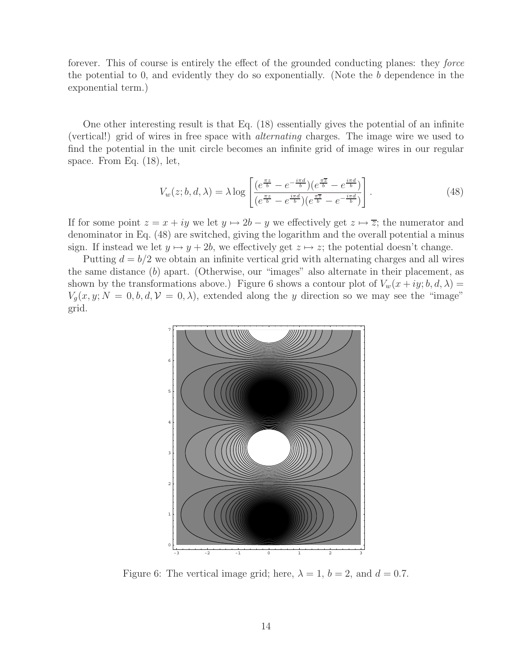forever. This of course is entirely the effect of the grounded conducting planes: they force the potential to 0, and evidently they do so exponentially. (Note the b dependence in the exponential term.)

One other interesting result is that Eq. (18) essentially gives the potential of an infinite (vertical!) grid of wires in free space with alternating charges. The image wire we used to find the potential in the unit circle becomes an infinite grid of image wires in our regular space. From Eq. (18), let,

$$
V_w(z; b, d, \lambda) = \lambda \log \left[ \frac{(e^{\frac{\pi z}{b}} - e^{-\frac{i\pi d}{b}})(e^{\frac{\pi \overline{z}}{b}} - e^{\frac{i\pi d}{b}})}{(e^{\frac{\pi z}{b}} - e^{\frac{i\pi d}{b}})(e^{\frac{\pi \overline{z}}{b}} - e^{-\frac{i\pi d}{b}})} \right].
$$
\n(48)

If for some point  $z = x + iy$  we let  $y \mapsto 2b - y$  we effectively get  $z \mapsto \overline{z}$ ; the numerator and denominator in Eq. (48) are switched, giving the logarithm and the overall potential a minus sign. If instead we let  $y \mapsto y + 2b$ , we effectively get  $z \mapsto z$ ; the potential doesn't change.

Putting  $d = b/2$  we obtain an infinite vertical grid with alternating charges and all wires the same distance (b) apart. (Otherwise, our "images" also alternate in their placement, as shown by the transformations above.) Figure 6 shows a contour plot of  $V_w(x+iy; b, d, \lambda) =$  $V_g(x, y; N = 0, b, d, V = 0, \lambda)$ , extended along the y direction so we may see the "image" grid.



Figure 6: The vertical image grid; here,  $\lambda = 1$ ,  $b = 2$ , and  $d = 0.7$ .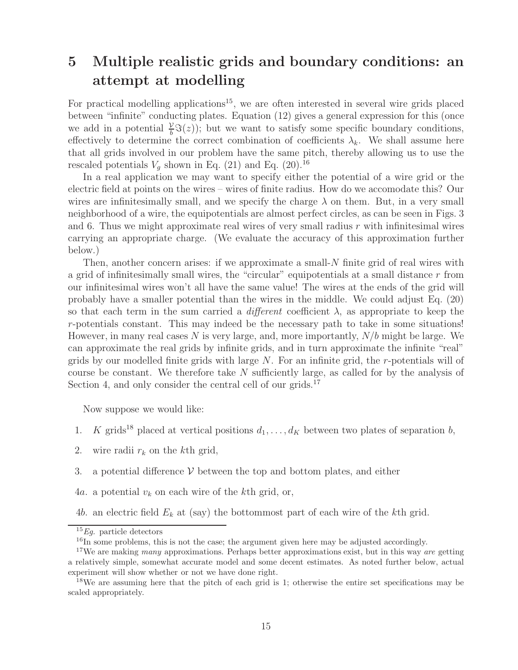# **5 Multiple realistic grids and boundary conditions: an attempt at modelling**

For practical modelling applications<sup>15</sup>, we are often interested in several wire grids placed between "infinite" conducting plates. Equation (12) gives a general expression for this (once we add in a potential  $\frac{\nu}{b} \Im(z)$ ; but we want to satisfy some specific boundary conditions, effectively to determine the correct combination of coefficients  $\lambda_k$ . We shall assume here that all grids involved in our problem have the same pitch, thereby allowing us to use the rescaled potentials  $V_g$  shown in Eq. (21) and Eq. (20).<sup>16</sup>

In a real application we may want to specify either the potential of a wire grid or the electric field at points on the wires – wires of finite radius. How do we accomodate this? Our wires are infinitesimally small, and we specify the charge  $\lambda$  on them. But, in a very small neighborhood of a wire, the equipotentials are almost perfect circles, as can be seen in Figs. 3 and 6. Thus we might approximate real wires of very small radius  $r$  with infinitesimal wires carrying an appropriate charge. (We evaluate the accuracy of this approximation further below.)

Then, another concern arises: if we approximate a small-N finite grid of real wires with a grid of infinitesimally small wires, the "circular" equipotentials at a small distance  $r$  from our infinitesimal wires won't all have the same value! The wires at the ends of the grid will probably have a smaller potential than the wires in the middle. We could adjust Eq. (20) so that each term in the sum carried a *different* coefficient  $\lambda$ , as appropriate to keep the r-potentials constant. This may indeed be the necessary path to take in some situations! However, in many real cases N is very large, and, more importantly,  $N/b$  might be large. We can approximate the real grids by infinite grids, and in turn approximate the infinite "real" grids by our modelled finite grids with large  $N$ . For an infinite grid, the r-potentials will of course be constant. We therefore take N sufficiently large, as called for by the analysis of Section 4, and only consider the central cell of our grids. $17$ 

Now suppose we would like:

- 1. K grids<sup>18</sup> placed at vertical positions  $d_1, \ldots, d_K$  between two plates of separation b,
- 2. wire radii  $r_k$  on the k<sup>th</sup> grid,
- 3. a potential difference  $\mathcal V$  between the top and bottom plates, and either
- 4a. a potential  $v_k$  on each wire of the kth grid, or,
- 4b. an electric field  $E_k$  at (say) the bottommost part of each wire of the kth grid.

 $^{15}Eg$ . particle detectors

 $^{16}$ In some problems, this is not the case; the argument given here may be adjusted accordingly.

<sup>17</sup>We are making *many* approximations. Perhaps better approximations exist, but in this way *are* getting a relatively simple, somewhat accurate model and some decent estimates. As noted further below, actual experiment will show whether or not we have done right.

<sup>&</sup>lt;sup>18</sup>We are assuming here that the pitch of each grid is 1; otherwise the entire set specifications may be scaled appropriately.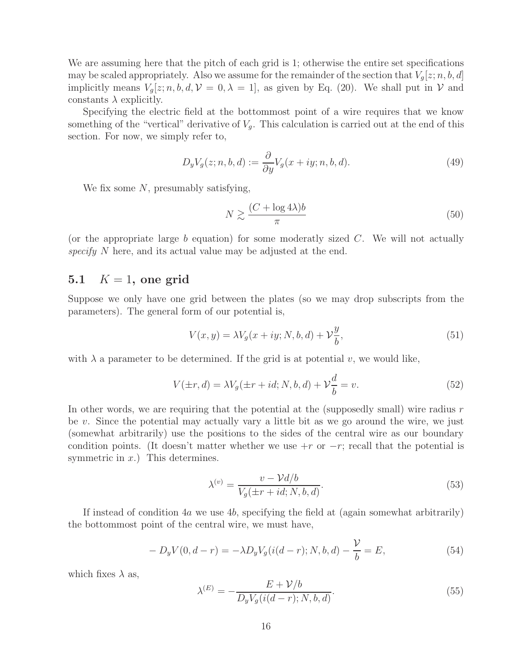We are assuming here that the pitch of each grid is 1; otherwise the entire set specifications may be scaled appropriately. Also we assume for the remainder of the section that  $V_g[z; n, b, d]$ implicitly means  $V_g[z; n, b, d, \mathcal{V} = 0, \lambda = 1]$ , as given by Eq. (20). We shall put in  $\mathcal V$  and constants  $\lambda$  explicitly.

Specifying the electric field at the bottommost point of a wire requires that we know something of the "vertical" derivative of  $V_g$ . This calculation is carried out at the end of this section. For now, we simply refer to,

$$
D_y V_g(z; n, b, d) := \frac{\partial}{\partial y} V_g(x + iy; n, b, d).
$$
\n(49)

We fix some  $N$ , presumably satisfying,

$$
N \gtrsim \frac{(C + \log 4\lambda)b}{\pi} \tag{50}
$$

(or the appropriate large b equation) for some moderatly sized  $C$ . We will not actually specify N here, and its actual value may be adjusted at the end.

### **5.1**  $K = 1$ , one grid

Suppose we only have one grid between the plates (so we may drop subscripts from the parameters). The general form of our potential is,

$$
V(x,y) = \lambda V_g(x+iy;N,b,d) + \mathcal{V}\frac{y}{b},\tag{51}
$$

with  $\lambda$  a parameter to be determined. If the grid is at potential v, we would like,

$$
V(\pm r, d) = \lambda V_g(\pm r + id; N, b, d) + \mathcal{V}\frac{d}{b} = v.
$$
\n
$$
(52)
$$

In other words, we are requiring that the potential at the (supposedly small) wire radius  $r$ be v. Since the potential may actually vary a little bit as we go around the wire, we just (somewhat arbitrarily) use the positions to the sides of the central wire as our boundary condition points. (It doesn't matter whether we use  $+r$  or  $-r$ ; recall that the potential is symmetric in  $x$ .) This determines.

$$
\lambda^{(v)} = \frac{v - \mathcal{V}d/b}{V_g(\pm r + id; N, b, d)}.\tag{53}
$$

If instead of condition  $4a$  we use  $4b$ , specifying the field at (again somewhat arbitrarily) the bottommost point of the central wire, we must have,

$$
-D_y V(0, d-r) = -\lambda D_y V_g(i(d-r); N, b, d) - \frac{\mathcal{V}}{b} = E,
$$
\n(54)

which fixes  $\lambda$  as,

$$
\lambda^{(E)} = -\frac{E + \mathcal{V}/b}{D_y V_g (i(d-r); N, b, d)}.
$$
\n(55)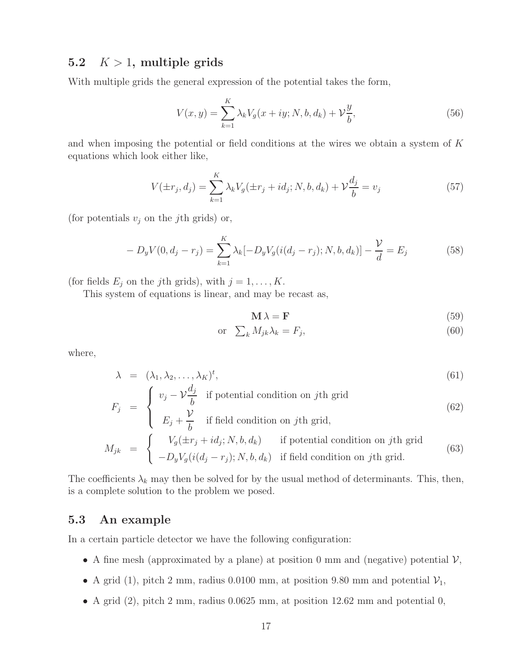### **5.2** K > 1**, multiple grids**

With multiple grids the general expression of the potential takes the form,

$$
V(x,y) = \sum_{k=1}^{K} \lambda_k V_g(x+iy; N, b, d_k) + \mathcal{V}\frac{y}{b},
$$
\n(56)

and when imposing the potential or field conditions at the wires we obtain a system of K equations which look either like,

$$
V(\pm r_j, d_j) = \sum_{k=1}^{K} \lambda_k V_g(\pm r_j + id_j; N, b, d_k) + \mathcal{V}\frac{d_j}{b} = v_j
$$
\n(57)

(for potentials  $v_j$  on the *j*th grids) or,

$$
-D_y V(0, d_j - r_j) = \sum_{k=1}^{K} \lambda_k [-D_y V_g(i(d_j - r_j); N, b, d_k)] - \frac{\mathcal{V}}{d} = E_j
$$
(58)

(for fields  $E_j$  on the jth grids), with  $j = 1, \ldots, K$ .

This system of equations is linear, and may be recast as,

$$
\mathbf{M}\,\lambda = \mathbf{F} \tag{59}
$$

$$
\text{or} \quad \sum_{k} M_{jk} \lambda_k = F_j,\tag{60}
$$

where,

$$
\lambda = (\lambda_1, \lambda_2, \dots, \lambda_K)^t,\tag{61}
$$

$$
F_j = \begin{cases} v_j - \mathcal{V}\frac{dy}{b} & \text{if potential condition on } j\text{th grid} \\ E_j + \frac{\mathcal{V}}{b} & \text{if field condition on } j\text{th grid,} \\ M_{jk} = \begin{cases} V_g(\pm r_j + id_j; N, b, d_k) & \text{if potential condition on } j\text{th grid} \\ -D_y V_g(i(d_j - r_j); N, b, d_k) & \text{if field condition on } j\text{th grid.} \end{cases} \tag{63}
$$

The coefficients  $\lambda_k$  may then be solved for by the usual method of determinants. This, then, is a complete solution to the problem we posed.

#### **5.3 An example**

In a certain particle detector we have the following configuration:

- A fine mesh (approximated by a plane) at position 0 mm and (negative) potential  $\mathcal{V}$ ,
- A grid (1), pitch 2 mm, radius 0.0100 mm, at position 9.80 mm and potential  $V_1$ ,
- A grid (2), pitch 2 mm, radius 0.0625 mm, at position 12.62 mm and potential 0,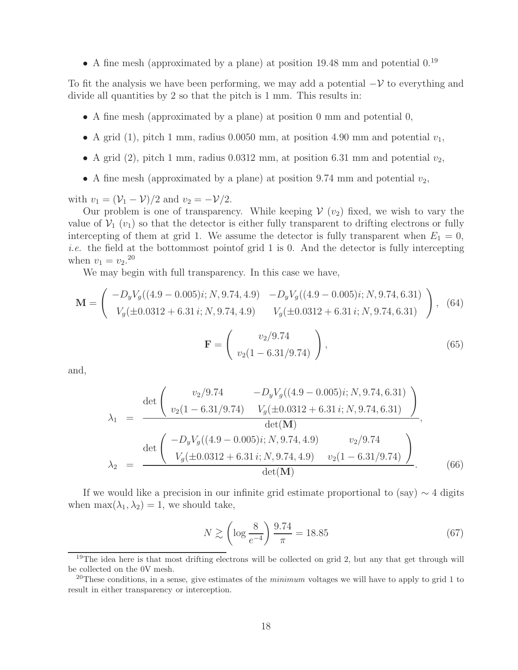• A fine mesh (approximated by a plane) at position 19.48 mm and potential  $0.^{19}$ 

To fit the analysis we have been performing, we may add a potential  $-V$  to everything and divide all quantities by 2 so that the pitch is 1 mm. This results in:

- A fine mesh (approximated by a plane) at position 0 mm and potential 0,
- A grid (1), pitch 1 mm, radius 0.0050 mm, at position 4.90 mm and potential  $v_1$ ,
- A grid (2), pitch 1 mm, radius 0.0312 mm, at position 6.31 mm and potential  $v_2$ ,
- A fine mesh (approximated by a plane) at position 9.74 mm and potential  $v_2$ ,

with  $v_1 = (\mathcal{V}_1 - \mathcal{V})/2$  and  $v_2 = -\mathcal{V}/2$ .

Our problem is one of transparency. While keeping  $V(v_2)$  fixed, we wish to vary the value of  $V_1$  ( $v_1$ ) so that the detector is either fully transparent to drifting electrons or fully intercepting of them at grid 1. We assume the detector is fully transparent when  $E_1 = 0$ , i.e. the field at the bottommost point of grid 1 is 0. And the detector is fully intercepting when  $v_1 = v_2$ <sup>20</sup>

We may begin with full transparency. In this case we have,

$$
\mathbf{M} = \begin{pmatrix} -D_y V_g((4.9 - 0.005)i; N, 9.74, 4.9) & -D_y V_g((4.9 - 0.005)i; N, 9.74, 6.31) \\ V_g(\pm 0.0312 + 6.31 i; N, 9.74, 4.9) & V_g(\pm 0.0312 + 6.31 i; N, 9.74, 6.31) \end{pmatrix},
$$
 (64)

$$
\mathbf{F} = \left( \begin{array}{c} v_2/9.74 \\ v_2(1 - 6.31/9.74) \end{array} \right), \tag{65}
$$

and,

$$
\lambda_1 = \frac{\det\begin{pmatrix} v_2/9.74 & -D_y V_g((4.9-0.005)i; N, 9.74, 6.31) \\ v_2(1-6.31/9.74) & V_g(\pm 0.0312 + 6.31 i; N, 9.74, 6.31) \end{pmatrix}}{\det(\mathbf{M})},
$$
\n
$$
\lambda_2 = \frac{\det\begin{pmatrix} -D_y V_g((4.9-0.005)i; N, 9.74, 4.9) & v_2/9.74 \\ V_g(\pm 0.0312 + 6.31 i; N, 9.74, 4.9) & v_2(1-6.31/9.74) \end{pmatrix}}{\det(\mathbf{M})}.
$$
\n(66)

If we would like a precision in our infinite grid estimate proportional to (say)  $\sim 4$  digits when  $\max(\lambda_1, \lambda_2) = 1$ , we should take,

$$
N \gtrsim \left(\log \frac{8}{e^{-4}}\right) \frac{9.74}{\pi} = 18.85\tag{67}
$$

 $19$ The idea here is that most drifting electrons will be collected on grid 2, but any that get through will be collected on the 0V mesh.

<sup>20</sup>These conditions, in a sense, give estimates of the *minimum* voltages we will have to apply to grid 1 to result in either transparency or interception.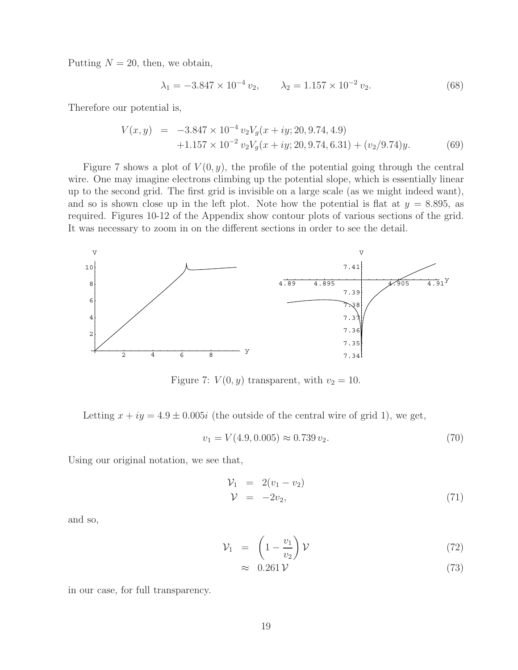Putting  $N = 20$ , then, we obtain,

$$
\lambda_1 = -3.847 \times 10^{-4} v_2, \qquad \lambda_2 = 1.157 \times 10^{-2} v_2. \tag{68}
$$

Therefore our potential is,

$$
V(x,y) = -3.847 \times 10^{-4} v_2 V_g(x+iy; 20, 9.74, 4.9) +1.157 \times 10^{-2} v_2 V_g(x+iy; 20, 9.74, 6.31) + (v_2/9.74)y.
$$
 (69)

Figure 7 shows a plot of  $V(0, y)$ , the profile of the potential going through the central wire. One may imagine electrons climbing up the potential slope, which is essentially linear up to the second grid. The first grid is invisible on a large scale (as we might indeed want), and so is shown close up in the left plot. Note how the potential is flat at  $y = 8.895$ , as required. Figures 10-12 of the Appendix show contour plots of various sections of the grid. It was necessary to zoom in on the different sections in order to see the detail.



Figure 7:  $V(0, y)$  transparent, with  $v_2 = 10$ .

Letting  $x + iy = 4.9 \pm 0.005i$  (the outside of the central wire of grid 1), we get,

$$
v_1 = V(4.9, 0.005) \approx 0.739 v_2. \tag{70}
$$

Using our original notation, we see that,

$$
\begin{array}{rcl}\nV_1 & = & 2(v_1 - v_2) \\
\mathcal{V} & = & -2v_2,\n\end{array} \tag{71}
$$

and so,

$$
\mathcal{V}_1 = \left(1 - \frac{v_1}{v_2}\right) \mathcal{V} \tag{72}
$$

$$
\approx 0.261 \mathcal{V} \tag{73}
$$

in our case, for full transparency.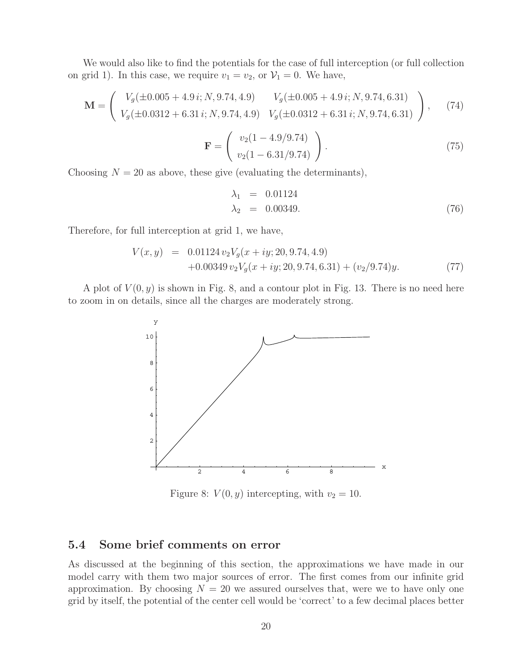We would also like to find the potentials for the case of full interception (or full collection on grid 1). In this case, we require  $v_1 = v_2$ , or  $\mathcal{V}_1 = 0$ . We have,

$$
\mathbf{M} = \begin{pmatrix} V_g(\pm 0.005 + 4.9 i; N, 9.74, 4.9) & V_g(\pm 0.005 + 4.9 i; N, 9.74, 6.31) \\ V_g(\pm 0.0312 + 6.31 i; N, 9.74, 4.9) & V_g(\pm 0.0312 + 6.31 i; N, 9.74, 6.31) \end{pmatrix},
$$
 (74)

$$
\mathbf{F} = \left( \begin{array}{c} v_2(1 - 4.9/9.74) \\ v_2(1 - 6.31/9.74) \end{array} \right). \tag{75}
$$

Choosing  $N = 20$  as above, these give (evaluating the determinants),

$$
\lambda_1 = 0.01124 \n\lambda_2 = 0.00349.
$$
\n(76)

Therefore, for full interception at grid 1, we have,

$$
V(x,y) = 0.01124 v_2 V_g(x+iy; 20, 9.74, 4.9)
$$
  
+0.00349 v<sub>2</sub>V<sub>g</sub>(x+iy; 20, 9.74, 6.31) + (v<sub>2</sub>/9.74)y. (77)

A plot of  $V(0, y)$  is shown in Fig. 8, and a contour plot in Fig. 13. There is no need here to zoom in on details, since all the charges are moderately strong.



Figure 8:  $V(0, y)$  intercepting, with  $v_2 = 10$ .

#### **5.4 Some brief comments on error**

As discussed at the beginning of this section, the approximations we have made in our model carry with them two major sources of error. The first comes from our infinite grid approximation. By choosing  $N = 20$  we assured ourselves that, were we to have only one grid by itself, the potential of the center cell would be 'correct' to a few decimal places better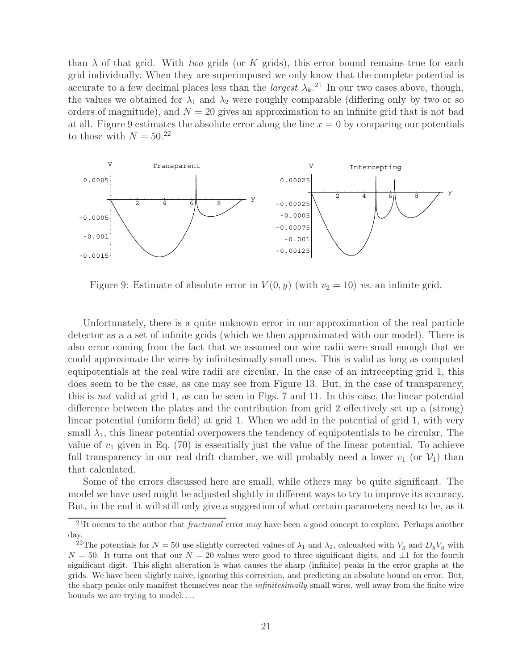than  $\lambda$  of that grid. With two grids (or K grids), this error bound remains true for each grid individually. When they are superimposed we only know that the complete potential is accurate to a few decimal places less than the *largest*  $\lambda_k$ .<sup>21</sup> In our two cases above, though, the values we obtained for  $\lambda_1$  and  $\lambda_2$  were roughly comparable (differing only by two or so orders of magnitude), and  $N = 20$  gives an approximation to an infinite grid that is not bad at all. Figure 9 estimates the absolute error along the line  $x = 0$  by comparing our potentials to those with  $N = 50^{22}$ 



Figure 9: Estimate of absolute error in  $V(0, y)$  (with  $v_2 = 10$ ) vs. an infinite grid.

Unfortunately, there is a quite unknown error in our approximation of the real particle detector as a a set of infinite grids (which we then approximated with our model). There is also error coming from the fact that we assumed our wire radii were small enough that we could approximate the wires by infinitesimally small ones. This is valid as long as computed equipotentials at the real wire radii are circular. In the case of an intrecepting grid 1, this does seem to be the case, as one may see from Figure 13. But, in the case of transparency, this is not valid at grid 1, as can be seen in Figs. 7 and 11. In this case, the linear potential difference between the plates and the contribution from grid 2 effectively set up a (strong) linear potential (uniform field) at grid 1. When we add in the potential of grid 1, with very small  $\lambda_1$ , this linear potential overpowers the tendency of equipotentials to be circular. The value of  $v_1$  given in Eq. (70) is essentially just the value of the linear potential. To achieve full transparency in our real drift chamber, we will probably need a lower  $v_1$  (or  $\mathcal{V}_1$ ) than that calculated.

Some of the errors discussed here are small, while others may be quite significant. The model we have used might be adjusted slightly in different ways to try to improve its accuracy. But, in the end it will still only give a suggestion of what certain parameters need to be, as it

<sup>21</sup>It occurs to the author that *fractional* error may have been a good concept to explore. Perhaps another day.

<sup>&</sup>lt;sup>22</sup>The potentials for  $N = 50$  use slightly corrected values of  $\lambda_1$  and  $\lambda_2$ , calcualted with  $V_g$  and  $D_yV_g$  with  $N = 50$ . It turns out that our  $N = 20$  values were good to three significant digits, and  $\pm 1$  for the fourth significant digit. This slight alteration is what causes the sharp (infinite) peaks in the error graphs at the grids. We have been slightly naive, ignoring this correction, and predicting an absolute bound on error. But, the sharp peaks only manifest themselves near the *infinitesimally* small wires, well away from the finite wire bounds we are trying to model. . . .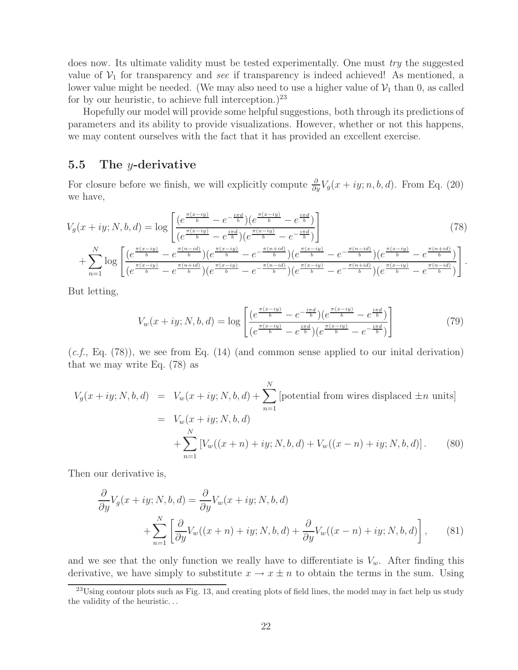does now. Its ultimate validity must be tested experimentally. One must try the suggested value of  $V_1$  for transparency and see if transparency is indeed achieved! As mentioned, a lower value might be needed. (We may also need to use a higher value of  $\mathcal{V}_1$  than 0, as called for by our heuristic, to achieve full interception.)<sup>23</sup>

Hopefully our model will provide some helpful suggestions, both through its predictions of parameters and its ability to provide visualizations. However, whether or not this happens, we may content ourselves with the fact that it has provided an excellent exercise.

#### **5.5 The** y**-derivative**

For closure before we finish, we will explicitly compute  $\frac{\partial}{\partial y}V_g(x+iy; n, b, d)$ . From Eq. (20) we have,

$$
V_g(x+iy; N, b, d) = \log \left[ \frac{(e^{\frac{\pi(x-iy)}{b}} - e^{-\frac{i\pi d}{b}})(e^{\frac{\pi(x-iy)}{b}} - e^{\frac{i\pi d}{b}})}{(e^{\frac{\pi(x-iy)}{b}} - e^{-\frac{i\pi d}{b}})(e^{\frac{\pi(x-iy)}{b}} - e^{-\frac{i\pi d}{b}})} \right]
$$
(78)  
+ 
$$
\sum_{n=1}^{N} \log \left[ \frac{(e^{\frac{\pi(x-iy)}{b}} - e^{\frac{\pi(n-id)}{b}})(e^{\frac{\pi(x-iy)}{b}} - e^{-\frac{\pi(n+id)}{b}})(e^{\frac{\pi(x-iy)}{b}} - e^{-\frac{\pi(n-id)}{b}})(e^{\frac{\pi(x-iy)}{b}} - e^{-\frac{\pi(n-id)}{b}})(e^{\frac{\pi(x-iy)}{b}} - e^{\frac{\pi(n-id)}{b}})}{e^{\frac{\pi(x-iy)}{b}} - e^{-\frac{\pi(n-id)}{b}})(e^{\frac{\pi(x-iy)}{b}} - e^{-\frac{\pi(n+id)}{b}})(e^{\frac{\pi(x-iy)}{b}} - e^{\frac{\pi(n-id)}{b}})} \right].
$$

But letting,

$$
V_w(x+iy; N, b, d) = \log \left[ \frac{(e^{\frac{\pi(x-iy)}{b}} - e^{-\frac{i\pi d}{b}})(e^{\frac{\pi(x-iy)}{b}} - e^{\frac{i\pi d}{b}})}{(e^{\frac{\pi(x-iy)}{b}} - e^{\frac{i\pi d}{b}})(e^{\frac{\pi(x-iy)}{b}} - e^{-\frac{i\pi d}{b}})} \right]
$$
(79)

 $(c.f., Eq. (78))$ , we see from Eq. (14) (and common sense applied to our initial derivation) that we may write Eq. (78) as

$$
V_g(x+iy; N, b, d) = V_w(x+iy; N, b, d) + \sum_{n=1}^{N} \text{[potential from wires displaced } \pm n \text{ units}]
$$
  
= 
$$
V_w(x+iy; N, b, d)
$$

$$
+ \sum_{n=1}^{N} \left[ V_w((x+n)+iy; N, b, d) + V_w((x-n)+iy; N, b, d) \right].
$$
 (80)

Then our derivative is,

$$
\frac{\partial}{\partial y}V_g(x+iy; N, b, d) = \frac{\partial}{\partial y}V_w(x+iy; N, b, d) \n+ \sum_{n=1}^N \left[ \frac{\partial}{\partial y}V_w((x+n)+iy; N, b, d) + \frac{\partial}{\partial y}V_w((x-n)+iy; N, b, d) \right],
$$
\n(81)

and we see that the only function we really have to differentiate is  $V_w$ . After finding this derivative, we have simply to substitute  $x \to x \pm n$  to obtain the terms in the sum. Using

<sup>&</sup>lt;sup>23</sup>Using contour plots such as Fig. 13, and creating plots of field lines, the model may in fact help us study the validity of the heuristic. . .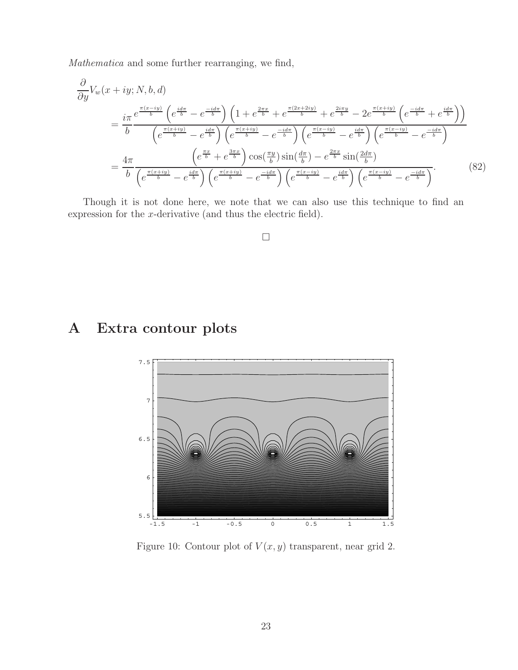Mathematica and some further rearranging, we find,

$$
\frac{\partial}{\partial y}V_w(x+iy;N,b,d)
$$
\n
$$
= \frac{i\pi}{b} \frac{e^{\frac{\pi(x-iy)}{b}} \left(e^{\frac{id\pi}{b}} - e^{-\frac{id\pi}{b}}\right) \left(1 + e^{\frac{2\pi x}{b}} + e^{\frac{\pi(2x+2iy)}{b}} + e^{\frac{2i\pi y}{b}} - 2e^{\frac{\pi(x+iy)}{b}} \left(e^{-\frac{id\pi}{b}} + e^{\frac{id\pi}{b}}\right)\right)}{\left(e^{\frac{\pi(x+iy)}{b}} - e^{\frac{id\pi}{b}}\right) \left(e^{\frac{\pi(x+iy)}{b}} - e^{-\frac{id\pi}{b}}\right) \left(e^{\frac{\pi(x-iy)}{b}} - e^{\frac{id\pi}{b}}\right) \left(e^{\frac{\pi(x-iy)}{b}} - e^{\frac{-id\pi}{b}}\right)}
$$
\n
$$
= \frac{4\pi}{b} \frac{\left(e^{\frac{\pi x}{b}} + e^{\frac{3\pi x}{b}}\right) \cos(\frac{\pi y}{b}) \sin(\frac{d\pi}{b}) - e^{\frac{2\pi x}{b}} \sin(\frac{2d\pi}{b})}{\left(e^{\frac{\pi(x+iy)}{b}} - e^{\frac{id\pi}{b}}\right) \left(e^{\frac{\pi(x-iy)}{b}} - e^{\frac{-id\pi}{b}}\right) \left(e^{\frac{\pi(x-iy)}{b}} - e^{\frac{-id\pi}{b}}\right)}.
$$
\n(82)

Though it is not done here, we note that we can also use this technique to find an expression for the x-derivative (and thus the electric field).

#### $\Box$

## **A Extra contour plots**



Figure 10: Contour plot of  $V(x, y)$  transparent, near grid 2.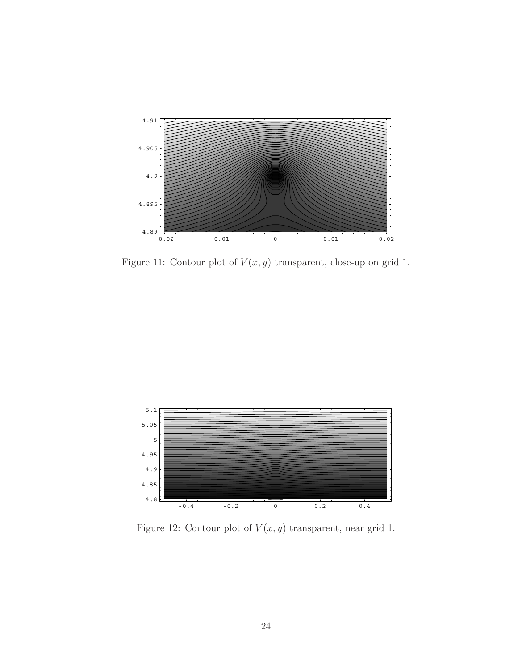

Figure 11: Contour plot of  $V(x, y)$  transparent, close-up on grid 1.



Figure 12: Contour plot of  $V(x, y)$  transparent, near grid 1.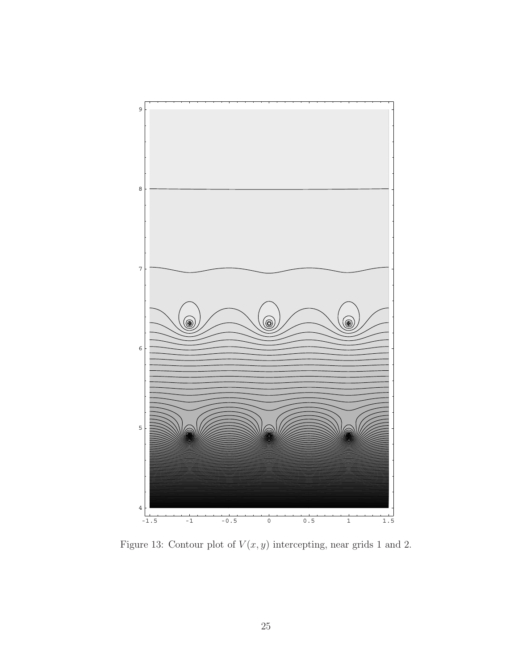

Figure 13: Contour plot of  $V(x, y)$  intercepting, near grids 1 and 2.